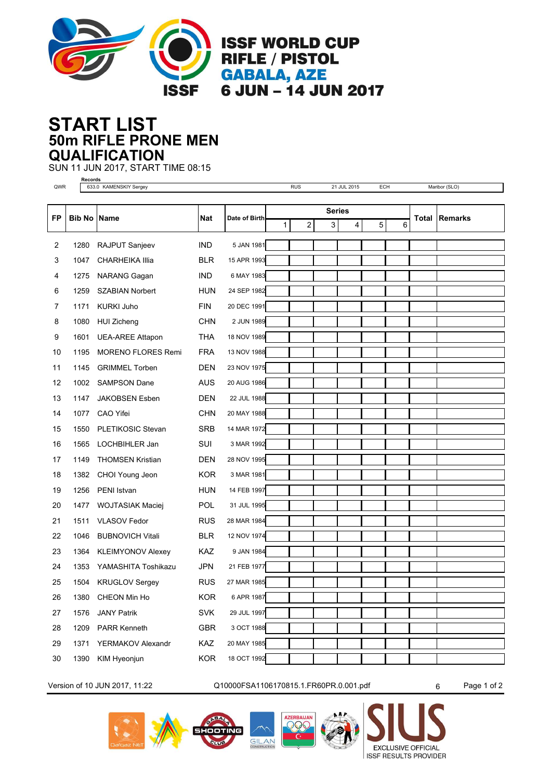

## **50m RIFLE PRONE MEN START LIST QUALIFICATION**

SUN 11 JUN 2017, START TIME 08:15

**Records**

QWR 633.0 KAMENSKIY Sergey **RUS 21 JUL 2015 ECH** Maribor (SLO) **FP Bib No Name Nat Date of Birth Total Date of Birth Total Total Total Total Total Total Total Total Total Total Total Total Total Total Total Total Total Total Total To** 1 2 3 4 5 6 2 1280 RAJPUT Sanjeev IND 5 JAN 1981 3 1047 CHARHEIKA Illia BLR 15 APR 1993 4 1275 NARANG Gagan IND 6 MAY 1983

| 6              | 1259 | <b>SZABIAN Norbert</b>        | <b>HUN</b> | 24 SEP 1982     |  |  |  |
|----------------|------|-------------------------------|------------|-----------------|--|--|--|
| $\overline{7}$ | 1171 | <b>KURKI Juho</b>             | <b>FIN</b> | 20 DEC 1991     |  |  |  |
| 8              | 1080 | <b>HUI Zicheng</b>            | <b>CHN</b> | 2 JUN 1989      |  |  |  |
| 9              | 1601 | <b>UEA-AREE Attapon</b>       | THA        | 18 NOV 1989     |  |  |  |
| 10             | 1195 | <b>MORENO FLORES Remi</b>     | <b>FRA</b> | 13 NOV 1988     |  |  |  |
| 11             | 1145 | <b>GRIMMEL Torben</b>         | <b>DEN</b> | 23 NOV 1975     |  |  |  |
| 12             | 1002 | <b>SAMPSON Dane</b>           | <b>AUS</b> | 20 AUG 1986     |  |  |  |
| 13             | 1147 | <b>JAKOBSEN Esben</b>         | <b>DEN</b> | 22 JUL 1988     |  |  |  |
| 14             | 1077 | CAO Yifei                     | <b>CHN</b> | 20 MAY 1988     |  |  |  |
| 15             | 1550 | <b>PLETIKOSIC Stevan</b>      | <b>SRB</b> | 14 MAR 1972     |  |  |  |
| 16             | 1565 | LOCHBIHLER Jan                | SUI        | 3 MAR 1992      |  |  |  |
| 17             | 1149 | <b>THOMSEN Kristian</b>       | <b>DEN</b> | 28 NOV 1995     |  |  |  |
| 18             | 1382 | CHOI Young Jeon               | KOR.       | 3 MAR 1981      |  |  |  |
| 19             | 1256 | PENI Istvan                   | <b>HUN</b> | 14 FEB 1997     |  |  |  |
| 20             | 1477 | <b>WOJTASIAK Maciej</b>       | <b>POL</b> | 31 JUL 1995     |  |  |  |
| 21             | 1511 | <b>VLASOV Fedor</b>           | <b>RUS</b> | 28 MAR 1984     |  |  |  |
| 22             | 1046 | <b>BUBNOVICH Vitali</b>       | <b>BLR</b> | 12 NOV 1974     |  |  |  |
| 23             | 1364 | <b>KLEIMYONOV Alexey</b>      | KAZ.       | 9 JAN 1984      |  |  |  |
| ົາ             |      | $1252$ $128888$ $1178$ $1322$ | 10M        | $04$ FFD $4077$ |  |  |  |

24 1353 YAMASHITA Toshikazu JPN 21 FEB 1977 25 1504 KRUGLOV Sergey RUS 27 MAR 1985 26 1380 CHEON Min Ho KOR 6 APR 1987 27 1576 JANY Patrik SVK 29 JUL 1997 28 1209 PARR Kenneth GBR 3 OCT 1988 29 1371 YERMAKOV Alexandr KAZ 20 MAY 1985

**Series**

**Remarks**

Version of 10 JUN 2017, 11:22 Q10000FSA1106170815.1.FR60PR.0.001.pdf 6 Page 1 of 2



30 1390 KIM Hyeonjun KOR 18 OCT 1992